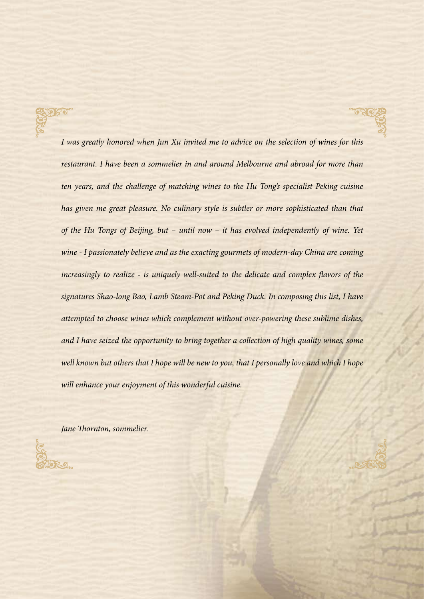*I was greatly honored when Jun Xu invited me to advice on the selection of wines for this restaurant. I have been a sommelier in and around Melbourne and abroad for more than ten years, and the challenge of matching wines to the Hu Tong's specialist Peking cuisine has given me great pleasure. No culinary style is subtler or more sophisticated than that of the Hu Tongs of Beijing, but – until now – it has evolved independently of wine. Yet wine - I passionately believe and as the exacting gourmets of modern-day China are coming increasingly to realize - is uniquely well-suited to the delicate and complex flavors of the signatures Shao-long Bao, Lamb Steam-Pot and Peking Duck. In composing this list, I have attempted to choose wines which complement without over-powering these sublime dishes, and I have seized the opportunity to bring together a collection of high quality wines, some well known but others that I hope will be new to you, that I personally love and which I hope will enhance your enjoyment of this wonderful cuisine.*

*Jane Thornton, sommelier.*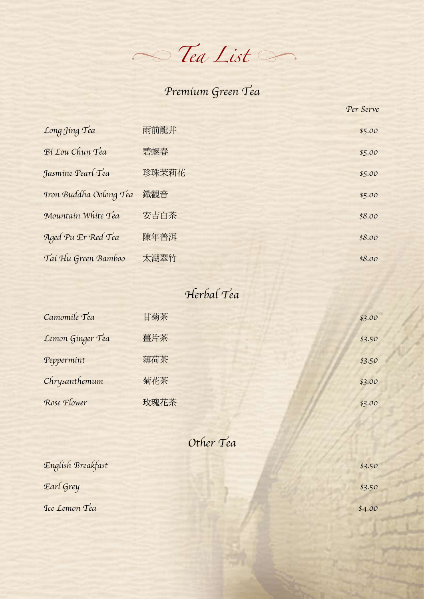$\sim$  *lea List* 

## *Premium Green Tea*

|                        |       | Per Serve |
|------------------------|-------|-----------|
| Long Jing Tea          | 雨前龍井  | \$5.00    |
| Bi Lou Chun Tea        | 碧螺春   | \$5.00    |
| Jasmine Pearl Tea      | 珍珠茉莉花 | \$5.00    |
| Iron Buddha Oolong Tea | 鐵觀音   | \$5.00    |
| Mountain White Tea     | 安吉白茶  | \$8.00    |
| Aged Pu Er Red Tea     | 陳年普洱  | \$8.00    |
| Tai Hu Green Bamboo    | 太湖翠竹  | \$8.00    |

### *Herbal Tea*

| Camomile Tea     | 甘菊茶  | \$3.00 |
|------------------|------|--------|
| Lemon Ginger Tea | 薑片茶  | \$3.50 |
| Peppermint       | 薄荷茶  | \$3.50 |
| Chrysanthemum    | 菊花茶  | \$3.00 |
| Rose Flower      | 玫瑰花茶 | \$3.00 |

### *Other Tea*

| English Breakfast | \$3.50 |
|-------------------|--------|
| Earl Grey         | \$3.50 |
| Ice Lemon Tea     | \$4.00 |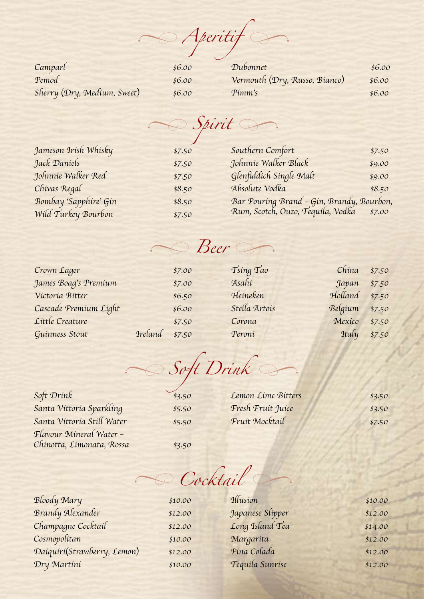*� Aperitif �*

| Camparl                     | \$6.00 |
|-----------------------------|--------|
| Pemod                       | \$6.00 |
| Sherry (Dry, Medium, Sweet) | \$6.00 |

| Dubonnet                      | \$6.00 |
|-------------------------------|--------|
| Vermouth (Dry, Russo, Bianco) | \$6.00 |
| Pimm's                        | \$6.00 |

 $\rightarrow$  *Spirit* 

*Jameson Irish Whisky \$7.50*

| Jameson Irísh Whisky  | \$7.50 |
|-----------------------|--------|
| Jack Daniels          | \$7.50 |
| Johnnie Walker Red    | \$7.50 |
| Chivas Regal          | \$8.50 |
| Bombay 'Sapphire' Gin | \$8.50 |
| Wild Turkey Bourbon   | \$7.50 |

| Southern Comfort                                                                      | \$7.50 |
|---------------------------------------------------------------------------------------|--------|
| Johnnie Walker Black                                                                  | \$9.00 |
| Glenfiddich Single Malt                                                               | \$9.00 |
| Absolute Vodka                                                                        | \$8.50 |
|                                                                                       |        |
| Bar Pouring Brand - Gin, Brandy, Bourbon,<br>Rum, Scotch, Ouzo, Tequila, Vodka \$7.00 |        |

## $\rightarrow$  *Beer*

| Crown Lager           |                | \$7.00 | Tsing Tao     | $China$ \$7.50 |        |
|-----------------------|----------------|--------|---------------|----------------|--------|
| James Boag's Premium  |                | \$7.00 | Asahi         | Japan          | \$7.50 |
| Víctoría Bítter       |                | \$6.50 | Heineken      | Holland \$7.50 |        |
| Cascade Premium Light |                | \$6.00 | Stella Artois | Belgíum        | \$7.50 |
| Little Creature       |                | \$7.50 | Corona        | Mexico         | \$7.50 |
| Guinness Stout        | Ireland \$7.50 |        | Peroni        | Italy \$7.50   |        |

 $\rightarrow$ *� Soft Drink*

*Soft Drink \$3.50 Santa Vittoria Sparkling \$5.50 Santa Vittoria Still Water \$5.50 Flavour Mineral Water – Chinotta, Limonata, Rossa \$3.50*

*Lemon Lime Bitters \$3.50 Fresh Fruit Juice \$3.50 Fruit Mocktail \$7.50*

 $\rightarrow$ *� Cocktail*

*Bloody Mary \$10.00 Brandy Alexander \$12.00 Champagne Cocktail \$12.00 Cosmopolitan \$10.00 Daiquiri(Strawberry, Lemon) \$12.00 Dry Martini \$10.00*

*Illusion \$10.00 Japanese Slipper \$12.00 Long Island Tea \$14.00 Margarita \$12.00 Pina Colada \$12.00 Tequila Sunrise \$12.00*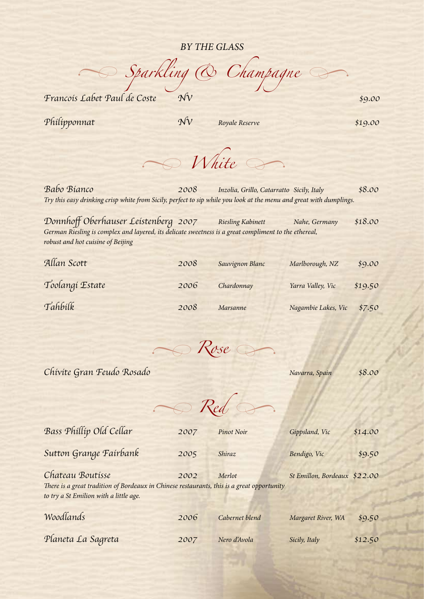#### *BY THE GLASS*

 $\rightarrow$  *Sparkling*  $\circledcirc$  *Champagne Francois Labet Paul de Coste NV \$9.00*

*Philipponnat NV Royale Reserve \$19.00*

*White*  $\rightarrow$ *�*

*Babo Bianco 2008 Inzolia, Grillo, Catarratto Sicily, Italy \$8.00 Try this easy drinking crisp white from Sicily, perfect to sip while you look at the menu and great with dumplings.*

Donnhoff Oberhauser Leistenberg 2007 *Riesling Kabinett Nahe, Germany \$18.00 German Riesling is complex and layered, its delicate sweetness is a great compliment to the ethereal, robust and hot cuisine of Beijing*

| Allan Scott     | 2008 | Sauvignon Blanc | Marlborough, NZ     | \$9.00  |
|-----------------|------|-----------------|---------------------|---------|
| Toolangi Estate | 2006 | Chardonnay      | Yarra Valley, Vic   | \$19.50 |
| Tahbilk         | 2008 | Marsanne        | Nagambie Lakes, Vic | \$7.50  |

*Rose*  $\rightarrow$ *�*

*Chivite Gran Feudo Rosado Navarra, Spain \$8.00*

*Red � �*

| Bass Phillip Old Cellar                                                                                                                                  | 2007 | <b>Pinot Noir</b> | Gippsland, Vic               | \$14.00 |
|----------------------------------------------------------------------------------------------------------------------------------------------------------|------|-------------------|------------------------------|---------|
| Sutton Grange Fairbank                                                                                                                                   | 2005 | Shiraz            | Bendigo, Vic                 | \$9.50  |
| Chateau Boutisse<br>There is a great tradition of Bordeaux in Chinese restaurants, this is a great opportunity<br>to try a St Emilion with a little age. | 2002 | Merlot            | St Emillon, Bordeaux \$22.00 |         |
| Woodlands                                                                                                                                                | 2006 | Cabernet blend    | Margaret River, WA           | \$9.50  |

*Planeta La Sagreta 2007 Nero d'Avola Sicily, Italy \$12.50*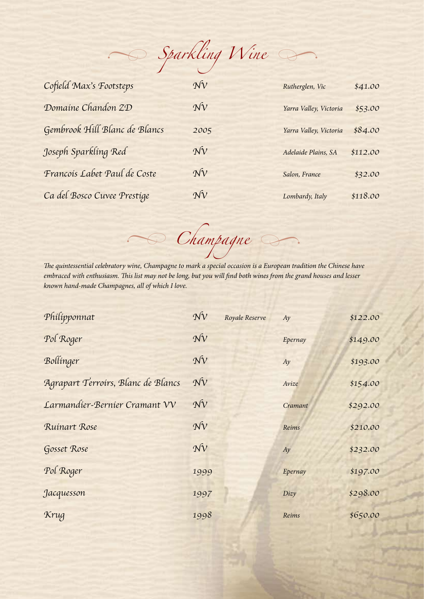$\rightarrow$  *Sparkling Wine* 

| Cofield Max's Footsteps       | $\gamma \hat{V}$ | Rutherglen, Vic        | \$41.00  |
|-------------------------------|------------------|------------------------|----------|
| Domaine Chandon ZD            | $\mathcal{N}v$   | Yarra Valley, Victoria | \$53.00  |
| Gembrook Hill Blanc de Blancs | 2005             | Yarra Valley, Victoria | \$84.00  |
| Joseph Sparkling Red          | $N_V$            | Adelaide Plains, SA    | \$112.00 |
| Francois Labet Paul de Coste  | $N_V$            | Salon, France          | \$32.00  |
| Ca del Bosco Cuvee Prestige   | $\mathcal{N}v$   | Lombardy, Italy        | \$118.00 |

*The quintessential celebratory wine, Champagne to mark a special occasion is a European tradition the Chinese have embraced with enthusiasm. This list may not be long, but you will find both wines from the grand houses and lesser known hand-made Champagnes, all of which I love.* 

 $A \rightarrow C$ hampagne

| Philipponnat                       | $N_V$            | Royale Reserve | Ay      | \$122.00 |
|------------------------------------|------------------|----------------|---------|----------|
| Pol Roger                          | $\gamma \hat{V}$ |                | Epernay | \$149.00 |
| Bollinger                          | $\gamma \hat{V}$ |                | Ay      | \$193.00 |
| Agrapart Terroirs, Blanc de Blancs | $\mathcal{N}v$   |                | Avize   | \$154.00 |
| Larmandier-Bernier Cramant VV      | $\gamma \hat{V}$ |                | Cramant | \$292.00 |
| Ruinart Rose                       | $\mathcal{N}V$   |                | Reims   | \$210.00 |
| Gosset Rose                        | $\mathcal{N}V$   |                | Ay      | \$232.00 |
| Pol Roger                          | 1999             |                | Epernay | \$197.00 |
| Jacquesson                         | 1997             |                | Dizy    | \$298.00 |
| Krug                               | 1998             |                | Reims   | \$650.00 |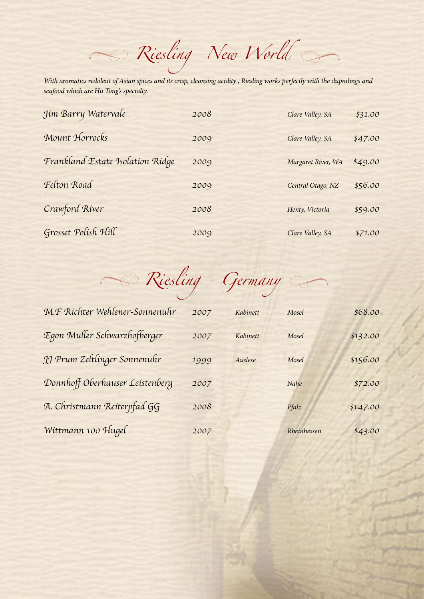*Riesling -New World � �*

*With aromatics redolent of Asian spices and its crisp, cleansing acidity , Riesling works perfectly with the dupmlings and seafood which are Hu Tong's specialty.*

| Jim Barry Watervale              | 2008 | Clare Valley, SA   | \$31.00 |
|----------------------------------|------|--------------------|---------|
| Mount Horrocks                   | 2009 | Clare Valley, SA   | \$47.00 |
| Frankland Estate Isolation Ridge | 2009 | Margaret River, WA | \$49.00 |
| Felton Road                      | 2009 | Central Otago, NZ  | \$56.00 |
| Crawford River                   | 2008 | Henty, Victoria    | \$59.00 |
| Grosset Polish Hill              | 2009 | Clare Valley, SA   | \$71.00 |

*Riesling - Germany � �*

| M.F Richter Wehlener-Sonnenuhr  | 2007 | Kabinett | Mosel       | \$68.00  |
|---------------------------------|------|----------|-------------|----------|
| Egon Muller Schwarzhofberger    | 2007 | Kabinett | Mosel       | \$132.00 |
| JJ Prum Zeltlinger Sonnenuhr    | 1999 | Auslese  | Mosel       | \$156.00 |
| Donnhoff Oberhauser Leistenberg | 2007 |          | Nahe        | \$72.00  |
| A. Christmann Reiterpfad GG     | 2008 |          | Pfalz       | \$147.00 |
| Wittmann 100 Hugel              | 2007 |          | Rheinhessen | \$43.00  |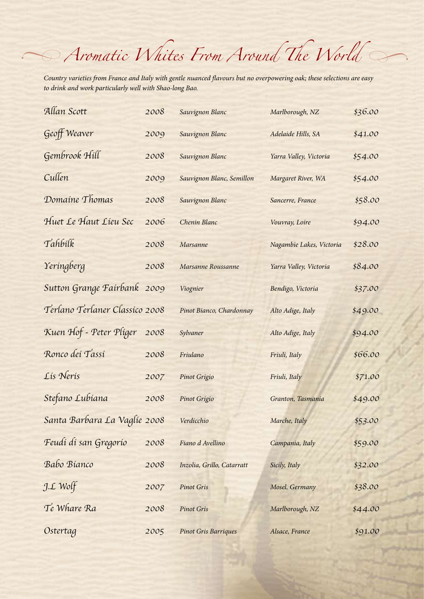# *Aromatic Whites From Around The World � �*

*Country varieties from France and Italy with gentle nuanced flavours but no overpowering oak; these selections are easy to drink and work particularly well with Shao-long Bao.*

| Allan Scott                    | 2008 | Sauvignon Blanc             | Marlborough, NZ          | \$36.00 |
|--------------------------------|------|-----------------------------|--------------------------|---------|
| Geoff Weaver                   | 2009 | Sauvignon Blanc             | Adelaide Hills, SA       | \$41.00 |
| Gembrook Hill                  | 2008 | Sauvignon Blanc             | Yarra Valley, Victoria   | \$54.00 |
| Cullen                         | 2009 | Sauvignon Blanc, Semillon   | Margaret River, WA       | \$54.00 |
| Domaine Thomas                 | 2008 | Sauvignon Blanc             | Sancerre, France         | \$58.00 |
| Huet Le Haut Lieu Sec          | 2006 | Chenin Blanc                | Vouvray, Loire           | \$94.00 |
| Tahbilk                        | 2008 | Marsanne                    | Nagambie Lakes, Victoria | \$28.00 |
| Yeringberg                     | 2008 | Marsanne Roussanne          | Yarra Valley, Victoria   | \$84.00 |
| Sutton Grange Fairbank 2009    |      | Viognier                    | Bendigo, Victoria        | \$37.00 |
| Terlano Terlaner Classico 2008 |      | Pinot Bianco, Chardonnay    | Alto Adige, Italy        | \$49.00 |
| Kuen Hof - Peter Pliger        | 2008 | Sylvaner                    | Alto Adige, Italy        | \$94.00 |
| Ronco dei Tassi                | 2008 | Friulano                    | Friuli, Italy            | \$66.00 |
| Lis Neris                      | 2007 | Pinot Grigio                | Friuli, Italy            | \$71.00 |
| Stefano Lubiana                | 2008 | Pinot Grigio                | Granton, Tasmania        | \$49.00 |
| Santa Barbara La Vaglie 2008   |      | Verdicchio                  | Marche, Italy            | \$53.00 |
| Feudí di san Gregorio          | 2008 | Fiano d Avellino            | Campania, Italy          | \$59.00 |
| Babo Bianco                    | 2008 | Inzolia, Grillo, Catarratt  | Sicily, Italy            | \$32.00 |
| J.L Wolf                       | 2007 | <b>Pinot Gris</b>           | Mosel, Germany           | \$38.00 |
| Te Whare Ra                    | 2008 | <b>Pinot Gris</b>           | Marlborough, NZ          | \$44.00 |
| Ostertag                       | 2005 | <b>Pinot Gris Barriques</b> | Alsace, France           | \$91.00 |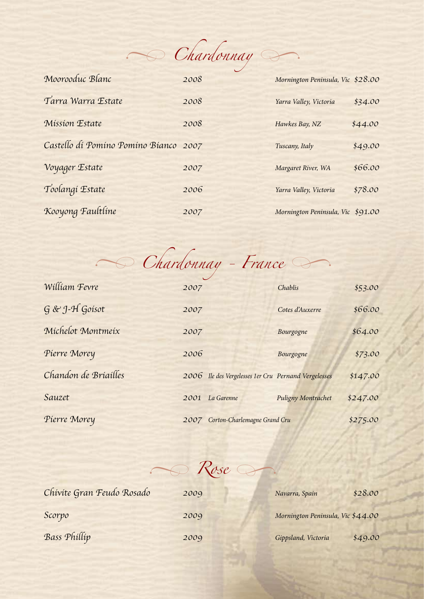$\rightarrow$  *Chardonnay* 

| Moorooduc Blanc                       | 2008 | Mornington Peninsula, Vic \$28.00 |         |
|---------------------------------------|------|-----------------------------------|---------|
| Tarra Warra Estate                    | 2008 | Yarra Valley, Victoria            | \$34.00 |
| Mission Estate                        | 2008 | Hawkes Bay, NZ                    | \$44.00 |
| Castello di Pomino Pomino Bianco 2007 |      | Tuscany, Italy                    | \$49.00 |
| Voyager Estate                        | 2007 | Margaret River, WA                | \$66.00 |
| Toolangi Estate                       | 2006 | Yarra Valley, Victoria            | \$78.00 |
| Kooyong Faultline                     | 2007 | Mornington Peninsula, Vic \$91.00 |         |

Chardonnay - France

| William Fevre        | 2007 |                                                      | Chablis            | \$53.00  |
|----------------------|------|------------------------------------------------------|--------------------|----------|
| G & J-H Goisot       | 2007 |                                                      | Cotes d'Auxerre    | \$66.00  |
| Michelot Montmeix    | 2007 |                                                      | Bourgogne          | \$64.00  |
| Pierre Morey         | 2006 |                                                      | Bourgogne          | \$73.00  |
| Chandon de Briailles |      | 2006 Ile des Vergelesses 1er Cru Pernand Vergelesses |                    | \$147.00 |
| Sauzet               | 2001 | La Garenne                                           | Puligny Montrachet | \$247.00 |
| Pierre Morey         |      | 2007 Corton-Charlemagne Grand Cru                    |                    | \$275.00 |

 $R$ *ose* 

| Chivite Gran Feudo Rosado | 2009 | \$28.00<br>Navarra, Spain         |
|---------------------------|------|-----------------------------------|
| Scorpo                    | 2009 | Mornington Peninsula, Vic \$44.00 |
| Bass Phillip              | 2009 | \$49.00<br>Gippsland, Victoria    |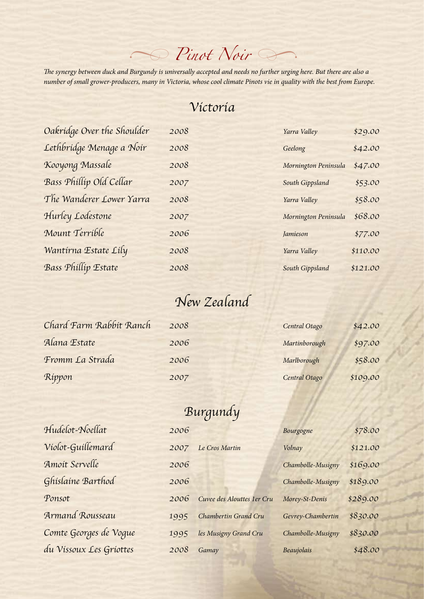## *Pinot Noir � �*

*The synergy between duck and Burgundy is universally accepted and needs no further urging here. But there are also a number of small grower-producers, many in Victoria, whose cool climate Pinots vie in quality with the best from Europe.*

### *Victoria*

| Oakridge Over the Shoulder | 2008 | Yarra Valley         | \$29.00  |
|----------------------------|------|----------------------|----------|
| Lethbridge Menage a Noir   | 2008 | Geelong              | \$42.00  |
| Kooyong Massale            | 2008 | Mornington Peninsula | \$47.00  |
| Bass Phillip Old Cellar    | 2007 | South Gippsland      | \$53.00  |
| The Wanderer Lower Yarra   | 2008 | Yarra Valley         | \$58.00  |
| Hurley Lodestone           | 2007 | Mornington Peninsula | \$68.00  |
| Mount Terrible             | 2006 | Jamieson             | \$77.00  |
| Wantírna Estate Líly       | 2008 | Yarra Valley         | \$110.00 |
| Bass Phillip Estate        | 2008 | South Gippsland      | \$121.00 |

| tarra valley         | 429.00   |
|----------------------|----------|
| Geelong              | \$42.00  |
| Mornington Peninsula | \$47.00  |
| South Gippsland      | \$53.00  |
| Yarra Valley         | \$58.00  |
| Mornington Peninsula | \$68.00  |
| Jamieson             | \$77.00  |
| Yarra Valley         | \$110.00 |
| South Gippsland      | \$121.00 |

### *New Zealand*

| Chard Farm Rabbit Ranch | 2008 | Central Otago | \$42.00  |
|-------------------------|------|---------------|----------|
| Alana Estate            | 2006 | Martinborough | \$97.00  |
| Fromm La Strada         | 2006 | Marlborough   | \$58.00  |
| Ríppon                  | 2007 | Central Otago | \$109.00 |

### *Burgundy*

| Hudelot-Noellat         | 2006 |                            | Bourgogne         | \$78.00  |
|-------------------------|------|----------------------------|-------------------|----------|
| Violot-Guillemard       | 2007 | Le Cros Martin             | Volnay            | \$121.00 |
| Amoit Servelle          | 2006 |                            | Chambolle-Musigny | \$169.00 |
| Ghislaine Barthod       | 2006 |                            | Chambolle-Musigny | \$189.00 |
| Ponsot                  | 2006 | Cuvee des Alouttes 1er Cru | Morey-St-Denis    | \$289.00 |
| Armand Rousseau         | 1995 | Chambertin Grand Cru       | Gevrey-Chambertin | \$830.00 |
| Comte Georges de Vogue  | 1995 | les Musigny Grand Cru      | Chambolle-Musigny | \$830.00 |
| du Vissoux Les Griottes | 2008 | Gamay                      | Beaujolais        | \$48.00  |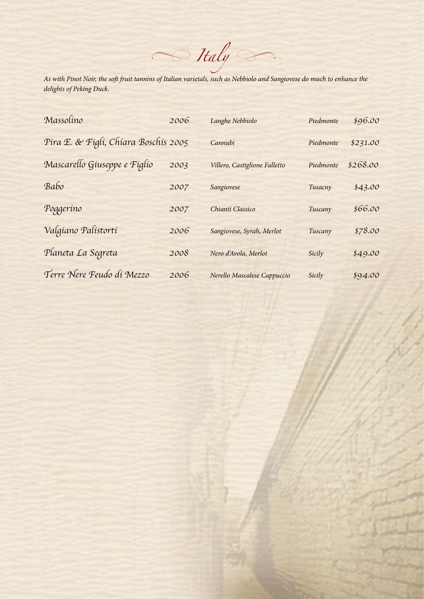$\sim$  *Italy* 

*As with Pinot Noir, the soft fruit tannins of Italian varietals, such as Nebbiolo and Sangiovese do much to enhance the delights of Peking Duck.*

| Massolino                            | 2006 | Langhe Nebbiolo               | Piedmonte | \$96.00  |
|--------------------------------------|------|-------------------------------|-----------|----------|
| Pira E. & Figli, Chiara Boschis 2005 |      | Cannubi                       | Piedmonte | \$231.00 |
| Mascarello Giuseppe e Figlio         | 2003 | Villero, Castiglione Falletto | Piedmonte | \$268.00 |
| Babo                                 | 2007 | Sangiovese                    | Tusacny   | \$43.00  |
| Poggerino                            | 2007 | Chianti Classico              | Tuscany   | \$66.00  |
| Valgíano Palístortí                  | 2006 | Sangiovese, Syrah, Merlot     | Tuscany   | \$78.00  |
| Planeta La Segreta                   | 2008 | Nero d'Avola, Merlot          | Sicily    | \$49.00  |
| Terre Nere Feudo di Mezzo            | 2006 | Nerello Mascalese Cappuccio   | Sicily    | \$94.00  |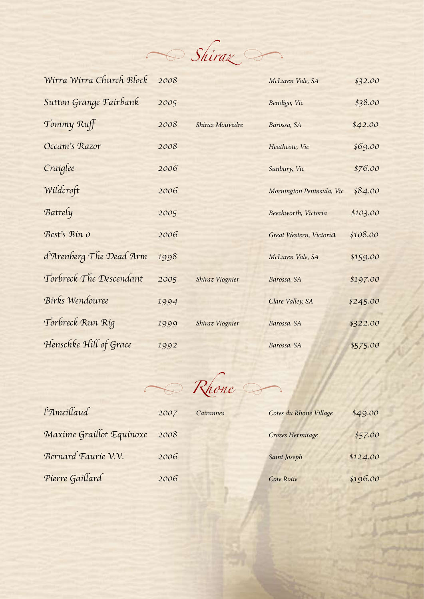

| Wirra Wirra Church Block | 2008 |                 | McLaren Vale, SA          | \$32.00  |
|--------------------------|------|-----------------|---------------------------|----------|
| Sutton Grange Fairbank   | 2005 |                 | Bendigo, Vic              | \$38.00  |
| Tommy Ruff               | 2008 | Shiraz Mouvedre | Barossa, SA               | \$42.00  |
| Occam's Razor            | 2008 |                 | Heathcote, Vic            | \$69.00  |
| Craíglee                 | 2006 |                 | Sunbury, Vic              | \$76.00  |
| Wildcroft                | 2006 |                 | Mornington Peninsula, Vic | \$84.00  |
| Battely                  | 2005 |                 | Beechworth, Victoria      | \$103.00 |
| Best's Bin o             | 2006 |                 | Great Western, Victoria   | \$108.00 |
| d'Arenberg The Dead Arm  | 1998 |                 | McLaren Vale, SA          | \$159.00 |
| Torbreck The Descendant  | 2005 | Shiraz Viognier | Barossa, SA               | \$197.00 |
| Birks Wendouree          | 1994 |                 | Clare Valley, SA          | \$245.00 |
| Torbreck Run Rig         | 1999 | Shiraz Viognier | Barossa, SA               | \$322.00 |
| Henschke Hill of Grace   | 1992 |                 | Barossa, SA               | \$575.00 |

 $R$ hone

| l'Ameillaud              | 2007 | <b>Cairannes</b> | Cotes du Rhone Village | \$49.00  |
|--------------------------|------|------------------|------------------------|----------|
| Maxime Graillot Equinoxe | 2008 |                  | Crozes Hermitage       | \$57.00  |
| Bernard Faurie V.V.      | 2006 |                  | Saint Joseph           | \$124.00 |
| Pierre Gaillard          | 2006 |                  | Cote Rotie             | \$196.00 |